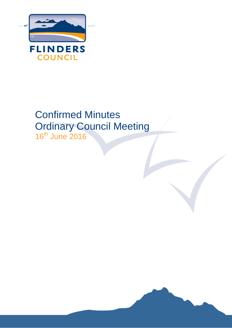

# Confirmed Minutes Ordinary Council Meeting 16<sup>th</sup> June 2016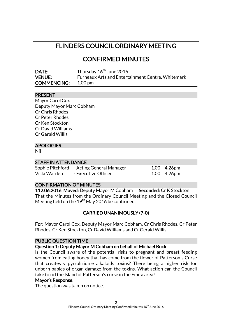# FLINDERS COUNCIL ORDINARY MEETING

CONFIRMED MINUTES

| DATE:              | Thursday 16 <sup>th</sup> June 2016                      |
|--------------------|----------------------------------------------------------|
| <b>VENUE:</b>      | <b>Furneaux Arts and Entertainment Centre, Whitemark</b> |
| <b>COMMENCING:</b> | 1.00 pm                                                  |

### PRESENT

| Mayor Carol Cox          |
|--------------------------|
| Deputy Mayor Marc Cobham |
| <b>Cr Chris Rhodes</b>   |
| Cr Peter Rhodes          |
| Cr Ken Stockton          |
| Cr David Williams        |
| Cr Gerald Willis         |
|                          |

# APOLOGIES

Nil

### STAFF IN ATTENDANCE

|              | Sophie Pitchford - Acting General Manager | $1.00 - 4.26$ pm |
|--------------|-------------------------------------------|------------------|
| Vicki Warden | - Executive Officer                       | $1.00 - 4.26$ pm |

# CONFIRMATION OF MINUTES

112.06.2016 Moved: Deputy Mayor M Cobham Seconded: Cr K Stockton That the Minutes from the Ordinary Council Meeting and the Closed Council Meeting held on the 19<sup>th</sup> May 2016 be confirmed.

# CARRIED UNANIMOUSLY (7-0)

For: Mayor Carol Cox, Deputy Mayor Marc Cobham, Cr Chris Rhodes, Cr Peter Rhodes, Cr Ken Stockton, Cr David Williams and Cr Gerald Willis.

### PUBLIC QUESTION TIME

### Question 1: Deputy Mayor M Cobham on behalf of Michael Buck

Is the Council aware of the potential risks to pregnant and breast feeding women from eating honey that has come from the flower of Patterson's Curse that creates v pyrrolizidine alkaloids toxins? There being a higher risk for unborn babies of organ damage from the toxins. What action can the Council take to rid the Island of Patterson's curse in the Emita area?

#### Mayor's Response:

The question was taken on notice.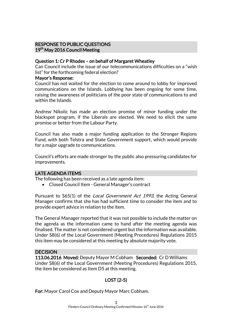# RESPONSE TO PUBLIC QUESTIONS 19<sup>th</sup> May 2016 Council Meeting

### Question 1: Cr P Rhodes – on behalf of Margaret Wheatley

Can Council include the issue of our telecommunications difficulties on a "wish list" for the forthcoming federal election?

#### Mayor's Response:

Council has not waited for the election to come around to lobby for improved communications on the Islands. Lobbying has been ongoing for some time, raising the awareness of politicians of the poor state of communications to and within the Islands.

Andrew Nikolic has made an election promise of minor funding under the blackspot program, if the Liberals are elected. We need to elicit the same promise or better from the Labour Party.

Council has also made a major funding application to the Stronger Regions Fund, with both Telstra and State Government support, which would provide for a major upgrade to communications.

Council's efforts are made stronger by the public also pressuring candidates for improvements.

# LATE AGENDA ITEMS

The following has been received as a late agenda item:

Closed Council Item - General Manager's contract

Pursuant to S65(1) of the *Local Government Act 1993*, the Acting General Manager confirms that she has had sufficient time to consider the item and to provide expert advice in relation to the item.

The General Manager reported that it was not possible to include the matter on the agenda as the information came to hand after the meeting agenda was finalised. The matter is not considered urgent but the information was available. Under S8(6) of the Local Government (Meeting Procedures) Regulations 2015 this item may be considered at this meeting by absolute majority vote.

# **DECISION**

113.06.2016 Moved: Deputy Mayor M Cobham Seconded: Cr D Williams Under S8(6) of the Local Government (Meeting Procedures) Regulations 2015, the item be considered as Item D5 at this meeting.

# LOST (2-5)

For: Mayor Carol Cox and Deputy Mayor Marc Cobham.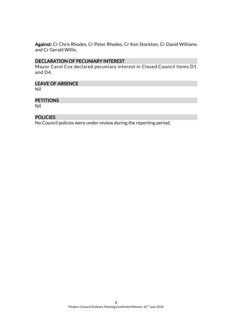Against: Cr Chris Rhodes, Cr Peter Rhodes, Cr Ken Stockton, Cr David Williams and Cr Gerald Willis.

# DECLARATION OF PECUNIARY INTEREST

Mayor Carol Cox declared pecuniary interest in Closed Council Items D1 and D4.

### LEAVE OF ABSENCE

Nil

### **PETITIONS**

Nil

# POLICIES

No Council policies were under review during the reporting period.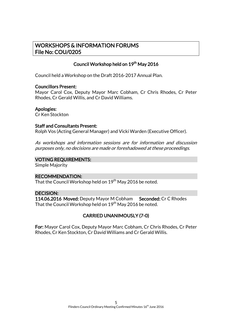# WORKSHOPS & INFORMATION FORUMS File No: COU/0205

# Council Workshop held on 19<sup>th</sup> May 2016

Council held a Workshop on the Draft 2016-2017 Annual Plan.

### Councillors Present:

Mayor Carol Cox, Deputy Mayor Marc Cobham, Cr Chris Rhodes, Cr Peter Rhodes, Cr Gerald Willis, and Cr David Williams.

### Apologies:

Cr Ken Stockton

### Staff and Consultants Present:

Rolph Vos (Acting General Manager) and Vicki Warden (Executive Officer).

As workshops and information sessions are for information and discussion purposes only, no decisions are made or foreshadowed at these proceedings.

### VOTING REQUIREMENTS:

Simple Majority

# RECOMMENDATION:

That the Council Workshop held on 19<sup>th</sup> May 2016 be noted.

# DECISION:

114.06.2016 Moved: Deputy Mayor M Cobham Seconded: Cr C Rhodes That the Council Workshop held on 19<sup>th</sup> May 2016 be noted.

# CARRIED UNANIMOUSLY (7-0)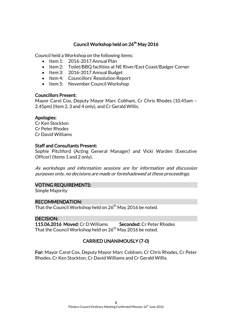# Council Workshop held on 26<sup>th</sup> May 2016

Council held a Workshop on the following items:

- $\bullet$  Item 1: 2016-2017 Annual Plan
- Item 2: Toilet/BBQ facilities at NE River/East Coast/Badger Corner
- Item 3: 2016-2017 Annual Budget
- Item 4: Councillors' Resolution Report
- Item 5: November Council Workshop

### Councillors Present:

Mayor Carol Cox, Deputy Mayor Marc Cobham, Cr Chris Rhodes (10.45am – 2.45pm) (Item 2, 3 and 4 only), and Cr Gerald Willis.

### Apologies:

Cr Ken Stockton Cr Peter Rhodes Cr David Williams

### Staff and Consultants Present:

Sophie Pitchford (Acting General Manager) and Vicki Warden (Executive Officer) (Items 1 and 2 only).

As workshops and information sessions are for information and discussion purposes only, no decisions are made or foreshadowed at these proceedings.

### VOTING REQUIREMENTS:

Simple Majority

### RECOMMENDATION:

That the Council Workshop held on  $26<sup>th</sup>$  May 2016 be noted.

# DECISION:

115.06.2016 Moved: Cr D Williams Seconded: Cr Peter Rhodes That the Council Workshop held on  $26<sup>th</sup>$  May 2016 be noted.

# CARRIED UNANIMOUSLY (7-0)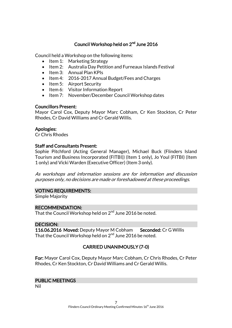# Council Workshop held on 2<sup>nd</sup> June 2016

Council held a Workshop on the following items:

- Item 1: Marketing Strategy
- Item 2: Australia Day Petition and Furneaux Islands Festival
- $\bullet$  Item 3: Annual Plan KPIs
- Item 4: 2016-2017 Annual Budget/Fees and Charges
- $\bullet$  Item 5: Airport Security
- Item 6: Visitor Information Report
- Item 7: November/December Council Workshop dates

### Councillors Present:

Mayor Carol Cox, Deputy Mayor Marc Cobham, Cr Ken Stockton, Cr Peter Rhodes, Cr David Williams and Cr Gerald Willis.

### Apologies:

Cr Chris Rhodes

### Staff and Consultants Present:

Sophie Pitchford (Acting General Manager), Michael Buck (Flinders Island Tourism and Business Incorporated (FITBI)) (Item 1 only), Jo Youl (FITBI) (Item 1 only) and Vicki Warden (Executive Officer) (Item 3 only).

As workshops and information sessions are for information and discussion purposes only, no decisions are made or foreshadowed at these proceedings.

# VOTING REQUIREMENTS:

Simple Majority

# RECOMMENDATION:

That the Council Workshop held on 2<sup>nd</sup> June 2016 be noted.

### DECISION:

116.06.2016 Moved: Deputy Mayor M Cobham Seconded: Cr G Willis That the Council Workshop held on  $2^{\mathsf{nd}}$  June 2016 be noted.

# CARRIED UNANIMOUSLY (7-0)

For: Mayor Carol Cox, Deputy Mayor Marc Cobham, Cr Chris Rhodes, Cr Peter Rhodes, Cr Ken Stockton, Cr David Williams and Cr Gerald Willis.

### PUBLIC MEETINGS

Nil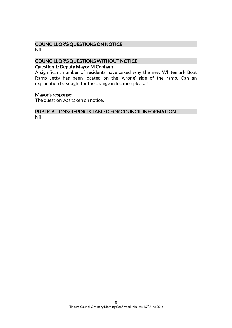# COUNCILLOR'S QUESTIONS ON NOTICE

Nil

# COUNCILLOR'S QUESTIONS WITHOUT NOTICE

# Question 1: Deputy Mayor M Cobham

A significant number of residents have asked why the new Whitemark Boat Ramp Jetty has been located on the 'wrong' side of the ramp. Can an explanation be sought for the change in location please?

### Mayor's response:

The question was taken on notice.

#### PUBLICATIONS/REPORTS TABLED FOR COUNCIL INFORMATION Nil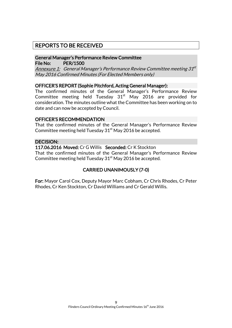# REPORTS TO BE RECEIVED

# General Manager's Performance Review Committee File No: PER/1500

<u>Annexure 1:</u> General Manager's Performance Review Committee meeting 31<sup>st</sup> May 2016 Confirmed Minutes (For Elected Members only)

### OFFICER'S REPORT (Sophie Pitchford, Acting General Manager):

The confirmed minutes of the General Manager's Performance Review Committee meeting held Tuesday  $31<sup>st</sup>$  May 2016 are provided for consideration. The minutes outline what the Committee has been working on to date and can now be accepted by Council.

### OFFICER'S RECOMMENDATION

That the confirmed minutes of the General Manager's Performance Review Committee meeting held Tuesday  $31<sup>st</sup>$  May 2016 be accepted.

### DECISION:

117.06.2016 Moved: Cr G Willis Seconded: Cr K Stockton

That the confirmed minutes of the General Manager's Performance Review Committee meeting held Tuesday  $31<sup>st</sup>$  May 2016 be accepted.

# CARRIED UNANIMOUSLY (7-0)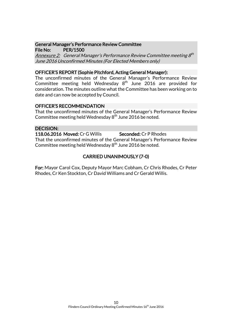### General Manager's Performance Review Committee File No: PER/1500

<u>Annexure 2:</u> General Manager's Performance Review Committee meeting 8th June 2016 Unconfirmed Minutes (For Elected Members only)

### OFFICER'S REPORT (Sophie Pitchford, Acting General Manager):

The unconfirmed minutes of the General Manager's Performance Review Committee meeting held Wednesday  $8^{\text{th}}$  June 2016 are provided for consideration. The minutes outline what the Committee has been working on to date and can now be accepted by Council.

### OFFICER'S RECOMMENDATION

That the unconfirmed minutes of the General Manager's Performance Review Committee meeting held Wednesday 8<sup>th</sup> June 2016 be noted.

### DECISION:

118.06.2016 Moved: Cr G Willis Seconded: Cr P Rhodes That the unconfirmed minutes of the General Manager's Performance Review Committee meeting held Wednesday  $8^{\rm th}$  June 2016 be noted.

# CARRIED UNANIMOUSLY (7-0)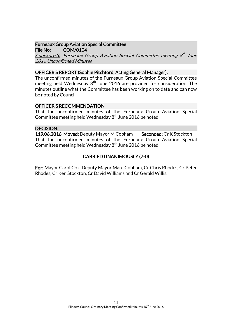#### Furneaux Group Aviation Special Committee File No: COM/0104

Annexure 3: Furneaux Group Aviation Special Committee meeting 8<sup>th</sup> June 2016 Unconfirmed Minutes

### OFFICER'S REPORT (Sophie Pitchford, Acting General Manager):

The unconfirmed minutes of the Furneaux Group Aviation Special Committee meeting held Wednesday  $8<sup>th</sup>$  June 2016 are provided for consideration. The minutes outline what the Committee has been working on to date and can now be noted by Council.

### OFFICER'S RECOMMENDATION

That the unconfirmed minutes of the Furneaux Group Aviation Special Committee meeting held Wednesday  $8<sup>th</sup>$  June 2016 be noted.

### DECISION:

119.06.2016 Moved: Deputy Mayor M Cobham Seconded: Cr K Stockton That the unconfirmed minutes of the Furneaux Group Aviation Special Committee meeting held Wednesday  $8<sup>th</sup>$  June 2016 be noted.

# CARRIED UNANIMOUSLY (7-0)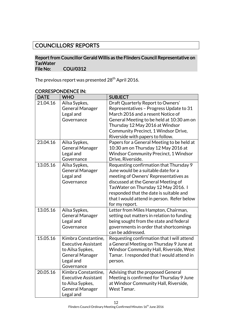# COUNCILLORS' REPORTS

### Report from Councillor Gerald Willis as the Flinders Council Representative on TasWater<br>File No: COU/0312

The previous report was presented 28<sup>th</sup> April 2016.

| <b>DATE</b> | <b>WHO</b>                                                                                                                 | <b>SUBJECT</b>                                                                                                                                                                                                                                                                                                   |
|-------------|----------------------------------------------------------------------------------------------------------------------------|------------------------------------------------------------------------------------------------------------------------------------------------------------------------------------------------------------------------------------------------------------------------------------------------------------------|
| 21.04.16    | Ailsa Sypkes,<br><b>General Manager</b><br>Legal and<br>Governance                                                         | Draft Quarterly Report to Owners'<br>Representatives - Progress Update to 31<br>March 2016 and a resent Notice of<br>General Meeting to be held at 10:30 am on<br>Thursday 12 May 2016 at Windsor<br>Community Precinct, 1 Windsor Drive,<br>Riverside with papers to follow.                                    |
| 23.04.16    | Ailsa Sypkes,<br><b>General Manager</b><br>Legal and<br>Governance                                                         | Papers for a General Meeting to be held at<br>10:30 am on Thursday 12 May 2016 at<br><b>Windsor Community Precinct, 1 Windsor</b><br>Drive, Riverside.                                                                                                                                                           |
| 13.05.16    | Ailsa Sypkes,<br><b>General Manager</b><br>Legal and<br>Governance                                                         | Requesting confirmation that Thursday 9<br>June would be a suitable date for a<br>meeting of Owners' Representatives as<br>discussed at the General Meeting of<br>TasWater on Thursday 12 May 2016. I<br>responded that the date is suitable and<br>that I would attend in person. Refer below<br>for my report. |
| 13.05.16    | Ailsa Sypkes,<br><b>General Manager</b><br>Legal and<br>Governance                                                         | Letter from Miles Hampton, Chairman,<br>setting out matters in relation to funding<br>being sought from the state and federal<br>governments in order that shortcomings<br>can be addressed.                                                                                                                     |
| 15.05.16    | Kimbra Constantine,<br><b>Executive Assistant</b><br>to Ailsa Sypkes,<br><b>General Manager</b><br>Legal and<br>Governance | Requesting confirmation that I will attend<br>a General Meeting on Thursday 9 June at<br>Windsor Community Hall, Riverside, West<br>Tamar. I responded that I would attend in<br>person.                                                                                                                         |
| 20.05.16    | Kimbra Constantine,<br><b>Executive Assistant</b><br>to Ailsa Sypkes,<br><b>General Manager</b><br>Legal and               | Advising that the proposed General<br>Meeting is confirmed for Thursday 9 June<br>at Windsor Community Hall, Riverside,<br>West Tamar.                                                                                                                                                                           |

# CORRESPONDENCE IN: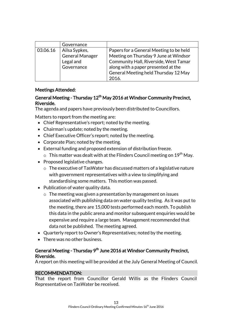|          | Governance      |                                         |
|----------|-----------------|-----------------------------------------|
| 03.06.16 | Ailsa Sypkes,   | Papers for a General Meeting to be held |
|          | General Manager | Meeting on Thursday 9 June at Windsor   |
|          | Legal and       | Community Hall, Riverside, West Tamar   |
|          | Governance      | along with a paper presented at the     |
|          |                 | General Meeting held Thursday 12 May    |
|          |                 | 2016.                                   |

# Meetings Attended:

# General Meeting - Thursday 12<sup>th</sup> May 2016 at Windsor Community Precinct, Riverside.

The agenda and papers have previously been distributed to Councillors.

Matters to report from the meeting are:

- Chief Representative's report; noted by the meeting.
- Chairman's update; noted by the meeting.
- Chief Executive Officer's report; noted by the meeting.
- Corporate Plan; noted by the meeting.
- External funding and proposed extension of distribution freeze.
	- $\circ$  This matter was dealt with at the Flinders Council meeting on 19<sup>th</sup> May.
- Proposed legislative changes.
	- o The executive of TasWater has discussed matters of a legislative nature with government representatives with a view to simplifying and standardising some matters. This motion was passed.
- Publication of water quality data.
	- o The meeting was given a presentation by management on issues associated with publishing data on water quality testing. As it was put to the meeting, there are 15,000 tests performed each month. To publish this data in the public arena and monitor subsequent enquiries would be expensive and require a large team. Management recommended that data not be published. The meeting agreed.
- Quarterly report to Owner's Representatives; noted by the meeting.
- There was no other business.

# General Meeting - Thursday 9<sup>th</sup> June 2016 at Windsor Community Precinct, Riverside.

A report on this meeting will be provided at the July General Meeting of Council.

# RECOMMENDATION:

That the report from Councillor Gerald Willis as the Flinders Council Representative on TasWater be received.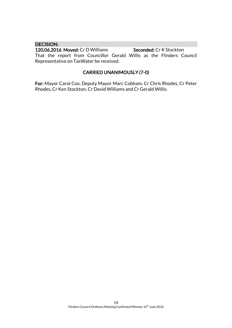### DECISION:

120.06.2016 Moved: Cr D Williams Seconded: Cr K Stockton That the report from Councillor Gerald Willis as the Flinders Council Representative on TasWater be received.

# CARRIED UNANIMOUSLY (7-0)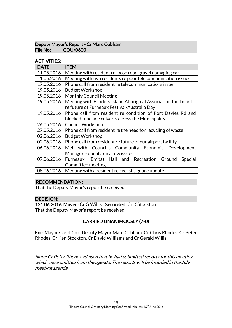# Deputy Mayor's Report - Cr Marc Cobham COU/0600

# ACTIVITIES:

| <b>DATE</b> | <b>ITEM</b>                                                      |  |  |
|-------------|------------------------------------------------------------------|--|--|
| 11.05.2016  | Meeting with resident re loose road gravel damaging car          |  |  |
| 11.05.2016  | Meeting with two residents re poor telecommunication issues      |  |  |
| 17.05.2016  | Phone call from resident re telecommunications issue             |  |  |
| 19.05.2016  | <b>Budget Workshop</b>                                           |  |  |
| 19.05.2016  | <b>Monthly Council Meeting</b>                                   |  |  |
| 19.05.2016  | Meeting with Flinders Island Aboriginal Association Inc. board - |  |  |
|             | re future of Furneaux Festival/Australia Day                     |  |  |
| 19.05.2016  | Phone call from resident re condition of Port Davies Rd and      |  |  |
|             | blocked roadside culverts across the Municipality                |  |  |
| 26.05.2016  | <b>Council Workshop</b>                                          |  |  |
| 27.05.2016  | Phone call from resident re the need for recycling of waste      |  |  |
| 02.06.2016  | <b>Budget Workshop</b>                                           |  |  |
| 02.06.2016  | Phone call from resident re future of our airport facility       |  |  |
| 06.06.2016  | Met with Council's Community Economic Development                |  |  |
|             | Manager - update on a few issues                                 |  |  |
| 07.06.2016  | Furneaux (Emita) Hall and Recreation Ground<br>Special           |  |  |
|             | Committee meeting                                                |  |  |
| 08.06.2016  | Meeting with a resident re cyclist signage update                |  |  |

# RECOMMENDATION:

That the Deputy Mayor's report be received.

# DECISION:

121.06.2016 Moved: Cr G Willis Seconded: Cr K Stockton That the Deputy Mayor's report be received.

# CARRIED UNANIMOUSLY (7-0)

For: Mayor Carol Cox, Deputy Mayor Marc Cobham, Cr Chris Rhodes, Cr Peter Rhodes, Cr Ken Stockton, Cr David Williams and Cr Gerald Willis.

Note: Cr Peter Rhodes advised that he had submitted reports for this meeting which were omitted from the agenda. The reports will be included in the July meeting agenda.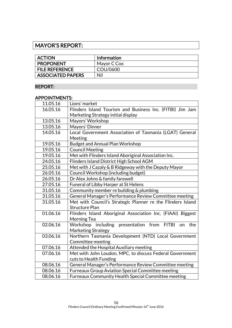# MAYOR'S REPORT:

| <b>ACTION</b>            | <b>Information</b> |
|--------------------------|--------------------|
| <b>PROPONENT</b>         | Mayor C Cox        |
| <b>FILE REFERENCE</b>    | COU/0600           |
| <b>ASSOCIATED PAPERS</b> | Nil                |

# REPORT:

# APPOINTMENTS:

| 11.05.16 | Lions' market                                               |  |
|----------|-------------------------------------------------------------|--|
| 16.05.16 | Flinders Island Tourism and Business Inc. (FITBI) Jim Jam   |  |
|          | Marketing Strategy initial display                          |  |
| 13.05.16 | Mayors' Workshop                                            |  |
| 13.05.16 | Mayors' Dinner                                              |  |
| 14.05.16 | Local Government Association of Tasmania (LGAT) General     |  |
|          | Meeting                                                     |  |
| 19.05.16 | <b>Budget and Annual Plan Workshop</b>                      |  |
| 19.05.16 | <b>Council Meeting</b>                                      |  |
| 19.05.16 | Met with Flinders Island Aboriginal Association Inc.        |  |
| 24.05.16 | Flinders Island District High School AGM                    |  |
| 25.05.16 | Met with J Cazaly & B Ridgeway with the Deputy Mayor        |  |
| 26.05.16 | Council Workshop (including budget)                         |  |
| 26.05.16 | Dr Alex Johns & family farewell                             |  |
| 27.05.16 | <b>Funeral of Libby Harper at St Helens</b>                 |  |
| 31.05.16 | Community member re building & plumbing                     |  |
| 31.05.16 | General Manager's Performance Review Committee meeting      |  |
| 31.05.16 | Met with Council's Strategic Planner re the Flinders Island |  |
|          | <b>Structure Plan</b>                                       |  |
| 01.06.16 | Flinders Island Aboriginal Association Inc. (FIAAI) Biggest |  |
|          | Morning Tea                                                 |  |
| 02.06.16 | Workshop including presentation from FITBI<br>the<br>on     |  |
|          | <b>Marketing Strategy</b>                                   |  |
| 03.06.16 | Northern Tasmania Development (NTD) Local Government        |  |
|          | Committee meeting                                           |  |
| 07.06.16 | Attended the Hospital Auxiliary meeting                     |  |
| 07.06.16 | Met with John Loudon, MPC, to discuss Federal Government    |  |
|          | cuts to Health Funding                                      |  |
| 08.06.16 | General Manager's Performance Review Committee meeting      |  |
| 08.06.16 | Furneaux Group Aviation Special Committee meeting           |  |
| 08.06.16 | Furneaux Community Health Special Committee meeting         |  |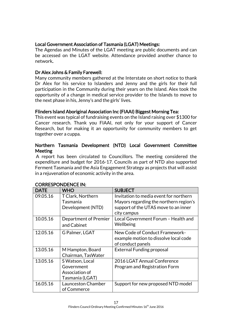# Local Government Association of Tasmania (LGAT) Meetings:

The Agendas and Minutes of the LGAT meeting are public documents and can be accessed on the LGAT website. Attendance provided another chance to network.

# Dr Alex Johns & Family Farewell:

Many community members gathered at the Interstate on short notice to thank Dr Alex for his service to Islanders and Jenny and the girls for their full participation in the Community during their years on the Island. Alex took the opportunity of a change in medical service provider to the Islands to move to the next phase in his, Jenny's and the girls' lives.

# Flinders Island Aboriginal Association Inc (FIAAI) Biggest Morning Tea:

This event was typical of fundraising events on the Island raising over \$1300 for Cancer research. Thank you FIAAI, not only for your support of Cancer Research, but for making it an opportunity for community members to get together over a cuppa.

# Northern Tasmania Development (NTD) Local Government Committee **Meeting**

A report has been circulated to Councillors. The meeting considered the expenditure and budget for 2016-17. Councils as part of NTD also supported Ferment Tasmania and the Asia Engagement Strategy as projects that will assist in a rejuvenation of economic activity in the area.

| <b>DATE</b> | <b>WHO</b>            | <b>SUBJECT</b>                         |
|-------------|-----------------------|----------------------------------------|
| 09.05.16    | T Clark, Northern     | Invitation to media event for northern |
|             | Tasmania              | Mayors regarding the northern region's |
|             | Development (NTD)     | support of the UTAS move to an inner   |
|             |                       | city campus                            |
| 10.05.16    | Department of Premier | Local Government Forum - Health and    |
|             | and Cabinet           | Wellbeing                              |
| 12.05.16    | G Palmer, LGAT        | New Code of Conduct Framework-         |
|             |                       | example motion to dissolve local code  |
|             |                       | of conduct panels                      |
| 13.05.16    | M Hampton, Board      | <b>External Funding proposal</b>       |
|             | Chairman, TasWater    |                                        |
| 13.05.16    | S Watson, Local       | 2016 LGAT Annual Conference            |
|             | Government            | Program and Registration Form          |
|             | Association of        |                                        |
|             | Tasmania (LGAT)       |                                        |
| 16.05.16    | Launceston Chamber    | Support for new proposed NTD model     |
|             | of Commerce           |                                        |

# CORRESPONDENCE IN: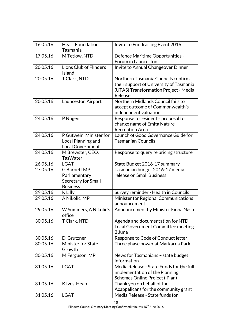| 16.05.16 | <b>Heart Foundation</b><br>Tasmania                                      | Invite to Fundraising Event 2016                                                                                                  |
|----------|--------------------------------------------------------------------------|-----------------------------------------------------------------------------------------------------------------------------------|
| 17.05.16 | M Tetlow, NTD                                                            | Defence Maritime Opportunities -                                                                                                  |
|          |                                                                          | Forum in Launceston                                                                                                               |
| 20.05.16 | <b>Lions Club of Flinders</b><br>Island                                  | Invite to Annual Changeover Dinner                                                                                                |
| 20.05.16 | <b>T Clark, NTD</b>                                                      | Northern Tasmania Councils confirm<br>their support of University of Tasmania<br>(UTAS) Transformation Project - Media<br>Release |
| 20.05.16 | Launceston Airport                                                       | Northern Midlands Council fails to<br>accept outcome of Commonwealth's<br>independent valuation                                   |
| 24.05.16 | P Nugent                                                                 | Response to resident's proposal to<br>change name of Emita Nature<br><b>Recreation Area</b>                                       |
| 24.05.16 | P Gutwein, Minister for<br>Local Planning and<br><b>Local Government</b> | Launch of Good Governance Guide for<br><b>Tasmanian Councils</b>                                                                  |
| 24.05.16 | M Brewster, CEO,<br><b>TasWater</b>                                      | Response to query re pricing structure                                                                                            |
| 26.05.16 | <b>LGAT</b>                                                              | State Budget 2016-17 summary                                                                                                      |
| 27.05.16 | G Barnett MP,<br>Parliamentary<br>Secretary for Small<br><b>Business</b> | Tasmanian budget 2016-17 media<br>release on Small Business                                                                       |
| 29.05.16 | K Lilly                                                                  | Survey reminder - Health in Councils                                                                                              |
| 29.05.16 | A Nikolic, MP                                                            | Minister for Regional Communications<br>announcement                                                                              |
| 29.05.16 | W Summers, A Nikolic's<br>office                                         | Announcement by Minister Fiona Nash                                                                                               |
| 30.05.16 | T Clark, NTD                                                             | Agenda and documentation for NTD<br>Local Government Committee meeting<br>3 June                                                  |
| 30.05.16 | D Grutzner                                                               | Response to Code of Conduct letter                                                                                                |
| 30.05.16 | <b>Minister for State</b><br>Growth                                      | Three phase power at Markarna Park                                                                                                |
| 30.05.16 | M Ferguson, MP                                                           | News for Tasmanians - state budget<br>information                                                                                 |
| 31.05.16 | <b>LGAT</b>                                                              | Media Release - State Funds for the full<br>implementation of the Planning<br>Schemes Online Project (iPlan)                      |
| 31.05.16 | K Ives-Heap                                                              | Thank you on behalf of the<br>Acappelicans for the community grant                                                                |
| 31.05.16 | <b>LGAT</b>                                                              | Media Release - State funds for                                                                                                   |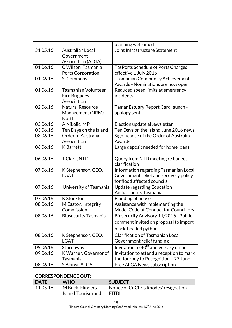|          |                             | planning welcomed                                 |
|----------|-----------------------------|---------------------------------------------------|
| 31.05.16 | <b>Australian Local</b>     | Joint Infrastructure Statement                    |
|          | Government                  |                                                   |
|          | <b>Association (ALGA)</b>   |                                                   |
| 01.06.16 | C Wilson, Tasmania          | <b>TasPorts Schedule of Ports Charges</b>         |
|          | Ports Corporation           | effective 1 July 2016                             |
| 01.06.16 | S, Commons                  | <b>Tasmanian Community Achievement</b>            |
|          |                             | Awards - Nominations are now open                 |
| 01.06.16 | <b>Tasmanian Volunteer</b>  | Reduced speed limits at emergency                 |
|          | Fire Brigades               | incidents                                         |
|          | Association                 |                                                   |
| 02.06.16 | <b>Natural Resource</b>     | Tamar Estuary Report Card launch -                |
|          | Management (NRM)            | apology sent                                      |
|          | North                       |                                                   |
| 03.06.16 | A Nikolic, MP               | Election update eNewsletter                       |
| 03.06.16 | Ten Days on the Island      | Ten Days on the Island June 2016 news             |
| 03.06.16 | <b>Order of Australia</b>   | Significance of the Order of Australia            |
|          | Association                 | Awards                                            |
| 06.06.16 | <b>K</b> Barrett            | Large deposit needed for home loans               |
| 06.06.16 | T Clark, NTD                | Query from NTD meeting re budget                  |
|          |                             | clarification                                     |
| 07.06.16 | K Stephenson, CEO,          | Information regarding Tasmanian Local             |
|          | LGAT                        | Government relief and recovery policy             |
|          |                             | for flood affected councils                       |
| 07.06.16 | University of Tasmania      | <b>Update regarding Education</b>                 |
|          |                             | Ambassadors Tasmania                              |
| 07.06.16 | <b>K</b> Stockton           | Flooding of house                                 |
| 08.06.16 | M Easton, Integrity         | Assistance with implementing the                  |
|          | Commission                  | Model Code of Conduct for Councillors             |
| 08.06.16 | <b>Biosecurity Tasmania</b> | Biosecurity Advisory 11/2016 - Public             |
|          |                             | comment invited on proposal to import             |
|          |                             | black-headed python                               |
| 08.06.16 | K Stephenson, CEO,          | <b>Clarification of Tasmanian Local</b>           |
|          | LGAT                        | Government relief funding                         |
| 09.06.16 | Stornoway                   | Invitation to 40 <sup>th</sup> anniversary dinner |
| 09.06.16 | K Warner, Governor of       | Invitation to attend a reception to mark          |
|          | Tasmania                    | the Journey to Recognition - 27 June              |
| 08.06.16 | S Akinyi, ALGA              | Free ALGA News subscription                       |

# CORRESPONDENCE OUT:

| DATE     | <b>WHO</b>         | <b>SUBJECT</b>                         |
|----------|--------------------|----------------------------------------|
| 11.05.16 | M Buck, Flinders   | Notice of Cr Chris Rhodes' resignation |
|          | Island Tourism and | I FITBI                                |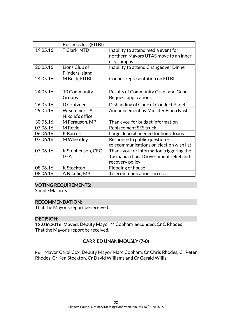|          | <b>Business Inc. (FITBI)</b> |                                            |
|----------|------------------------------|--------------------------------------------|
| 19.05.16 | T Clark, NTD                 | Inability to attend media event for        |
|          |                              | northern Mayors UTAS move to an inner      |
|          |                              | city campus                                |
| 20.05.16 | Lions Club of                | Inability to attend Changeover Dinner      |
|          | <b>Flinders Island</b>       |                                            |
| 24.05.16 | M Buck, FITBI                | Council representation on FITBI            |
|          |                              |                                            |
| 24.05.16 | 10 Community                 | <b>Results of Community Grant and Gunn</b> |
|          | Groups                       | Bequest applications                       |
| 26.05.16 | D Grutzner                   | Disbanding of Code of Conduct Panel        |
| 29.05.16 | W Summers, A                 | Announcement by Minister Fiona Nash        |
|          | Nikolic's office             |                                            |
| 30.05.16 | M Ferguson, MP               | Thank you for budget information           |
| 07.06.16 | M Revie                      | Replacement SES truck                      |
| 06.06.16 | <b>K</b> Barrett             | Large deposit needed for home loans        |
| 07.06.16 | M Wheatley                   | Response to public question -              |
|          |                              | telecommunications on election wish list   |
| 07.06.16 | K Stephenson, CEO,           | Thank you for information triggering the   |
|          | <b>LGAT</b>                  | Tasmanian Local Government relief and      |
|          |                              | recovery policy                            |
| 08.06.16 | <b>K</b> Stockton            | Flooding of house                          |
| 08.06.16 | A Nikolic, MP                | Telecommunications access                  |

# VOTING REQUIREMENTS:

Simple Majority

### RECOMMENDATION:

That the Mayor's report be received.

### DECISION:

122.06.2016 Moved: Deputy Mayor M Cobham Seconded: Cr C Rhodes That the Mayor's report be received.

# CARRIED UNANIMOUSLY (7-0)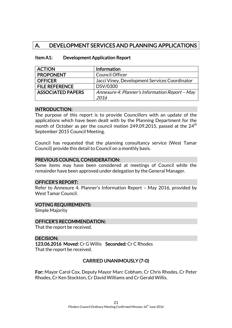# A. DEVELOPMENT SERVICES AND PLANNING APPLICATIONS

| <b>ACTION</b>            | <b>Information</b>                             |
|--------------------------|------------------------------------------------|
| <b>PROPONENT</b>         | <b>Council Officer</b>                         |
| <b>OFFICER</b>           | Jacci Viney, Development Services Coordinator  |
| <b>FILE REFERENCE</b>    | DSV/0300                                       |
| <b>ASSOCIATED PAPERS</b> | Annexure 4: Planner's Information Report - May |
|                          | 2016                                           |

### Item A1: Development Application Report

#### INTRODUCTION:

The purpose of this report is to provide Councillors with an update of the applications which have been dealt with by the Planning Department for the month of October as per the council motion 249.09.2015, passed at the  $24<sup>th</sup>$ September 2015 Council Meeting.

Council has requested that the planning consultancy service (West Tamar Council) provide this detail to Council on a monthly basis.

### PREVIOUS COUNCIL CONSIDERATION:

Some items may have been considered at meetings of Council while the remainder have been approved under delegation by the General Manager.

### OFFICER'S REPORT:

Refer to Annexure 4. Planner's Information Report – May 2016, provided by West Tamar Council.

### VOTING REQUIREMENTS:

Simple Majority

#### OFFICER'S RECOMMENDATION:

That the report be received.

### DECISION:

123.06.2016 Moved: Cr G Willis Seconded: Cr C Rhodes That the report be received.

# CARRIED UNANIMOUSLY (7-0)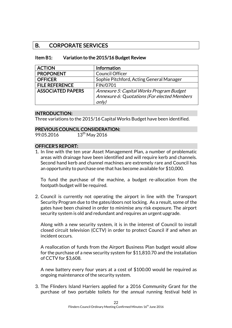# B. CORPORATE SERVICES

| Item B1: | Variation to the 2015/16 Budget Review |
|----------|----------------------------------------|
|----------|----------------------------------------|

| <b>ACTION</b>            | Information                                          |
|--------------------------|------------------------------------------------------|
| <b>PROPONENT</b>         | <b>Council Officer</b>                               |
| <b>OFFICER</b>           | Sophie Pitchford, Acting General Manager             |
| <b>FILE REFERENCE</b>    | FIN/0701                                             |
| <b>ASSOCIATED PAPERS</b> | Annexure 5: Capital Works Program Budget             |
|                          | Annexure 6: Quotations (For elected Members<br>only) |

### INTRODUCTION:

Three variations to the 2015/16 Capital Works Budget have been identified.

### PREVIOUS COUNCIL CONSIDERATION:

99.05.2016  $13^{th}$  May 2016

### OFFICER'S REPORT:

1. In line with the ten year Asset Management Plan, a number of problematic areas with drainage have been identified and will require kerb and channels. Second hand kerb and channel machines are extremely rare and Council has an opportunity to purchase one that has become available for \$10,000.

To fund the purchase of the machine, a budget re-allocation from the footpath budget will be required.

2. Council is currently not operating the airport in line with the Transport Security Program due to the gates/doors not locking. As a result, some of the gates have been chained in order to minimise any risk exposure. The airport security system is old and redundant and requires an urgent upgrade.

Along with a new security system, it is in the interest of Council to install closed circuit television (CCTV) in order to protect Council if and when an incident occurs.

A reallocation of funds from the Airport Business Plan budget would allow for the purchase of a new security system for \$11,810.70 and the installation of CCTV for \$3,608.

A new battery every four years at a cost of \$100.00 would be required as ongoing maintenance of the security system.

3. The Flinders Island Harriers applied for a 2016 Community Grant for the purchase of two portable toilets for the annual running festival held in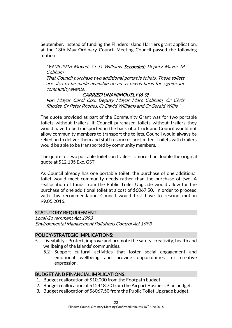September. Instead of funding the Flinders Island Harriers grant application, at the 13th May Ordinary Council Meeting Council passed the following motion:

"99.05.2016 Moved: Cr D Williams Seconded: Deputy Mayor M Cobham

That Council purchase two additional portable toilets. These toilets are also to be made available on an as needs basis for significant community events.

### CARRIED UNANIMOUSLY (6-0)

For: Mayor Carol Cox, Deputy Mayor Marc Cobham, Cr Chris Rhodes, Cr Peter Rhodes, Cr David Williams and Cr Gerald Willis."

The quote provided as part of the Community Grant was for two portable toilets without trailers. If Council purchased toilets without trailers they would have to be transported in the back of a truck and Council would not allow community members to transport the toilets. Council would always be relied on to deliver them and staff resources are limited. Toilets with trailers would be able to be transported by community members.

The quote for two portable toilets on trailers is more than double the original quote at \$12,135 Exc. GST.

As Council already has one portable toilet, the purchase of one additional toilet would meet community needs rather than the purchase of two. A reallocation of funds from the Public Toilet Upgrade would allow for the purchase of one additional toilet at a cost of \$6067.50. In order to proceed with this recommendation Council would first have to rescind motion 99.05.2016.

# STATUTORY REQUIREMENT:

Local Government Act 1993 Environmental Management Pollutions Control Act 1993

### POLICY/STRATEGIC IMPLICATIONS:

- 5. Liveability Protect, improve and promote the safety, creativity, health and wellbeing of the Islands' communities.
	- 5.2 Support cultural activities that foster social engagement and emotional wellbeing and provide opportunities for creative expression.

# BUDGET AND FINANCIAL IMPLICATIONS:

- 1. Budget reallocation of \$10,000 from the Footpath budget.
- 2. Budget reallocation of \$15418.70 from the Airport Business Plan budget.
- 3. Budget reallocation of \$6067.50 from the Public Toilet Upgrade budget.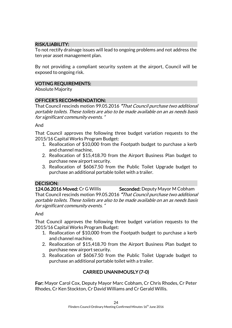# RISK/LIABILITY:

To not rectify drainage issues will lead to ongoing problems and not address the ten year asset management plan.

By not providing a compliant security system at the airport, Council will be exposed to ongoing risk.

# VOTING REQUIREMENTS:

Absolute Majority

# OFFICER'S RECOMMENDATION:

That Council rescinds motion 99.05.2016 "That Council purchase two additional portable toilets. These toilets are also to be made available on an as needs basis for significant community events. "

And

That Council approves the following three budget variation requests to the 2015/16 Capital Works Program Budget:

- 1. Reallocation of \$10,000 from the Footpath budget to purchase a kerb and channel machine,
- 2. Reallocation of \$15,418.70 from the Airport Business Plan budget to purchase new airport security.
- 3. Reallocation of \$6067.50 from the Public Toilet Upgrade budget to purchase an additional portable toilet with a trailer.

# DECISION:

124.06.2016 Moved: Cr G Willis Seconded: Deputy Mayor M Cobham That Council rescinds motion 99.05.2016 "That Council purchase two additional portable toilets. These toilets are also to be made available on an as needs basis for significant community events. "

### And

That Council approves the following three budget variation requests to the 2015/16 Capital Works Program Budget:

- 1. Reallocation of \$10,000 from the Footpath budget to purchase a kerb and channel machine,
- 2. Reallocation of \$15,418.70 from the Airport Business Plan budget to purchase new airport security.
- 3. Reallocation of \$6067.50 from the Public Toilet Upgrade budget to purchase an additional portable toilet with a trailer.

# CARRIED UNANIMOUSLY (7-0)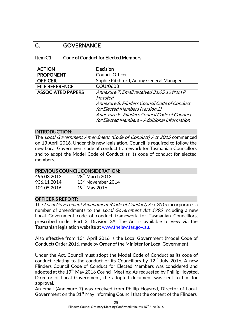# C. GOVERNANCE

### Item C1: Code of Conduct for Elected Members

| <b>ACTION</b>            | <b>Decision</b>                              |
|--------------------------|----------------------------------------------|
| <b>PROPONENT</b>         | <b>Council Officer</b>                       |
| <b>OFFICER</b>           | Sophie Pitchford, Acting General Manager     |
| <b>FILE REFERENCE</b>    | COU/0603                                     |
| <b>ASSOCIATED PAPERS</b> | Annexure 7: Email received 31.05.16 from P   |
|                          | Hoysted                                      |
|                          | Annexure 8: Flinders Council Code of Conduct |
|                          | for Elected Members (version 2)              |
|                          | Annexure 9: Flinders Council Code of Conduct |
|                          | for Elected Members - Additional Information |

### INTRODUCTION:

The Local Government Amendment (Code of Conduct) Act 2015 commenced on 13 April 2016. Under this new legislation, Council is required to follow the new Local Government code of conduct framework for Tasmanian Councillors and to adopt the Model Code of Conduct as its code of conduct for elected members.

### PREVIOUS COUNCIL CONSIDERATION:

| 495.03.2013 | $28th$ March 2013              |
|-------------|--------------------------------|
| 936.11.2014 | 13 <sup>th</sup> November 2014 |
| 101.05.2016 | $19th$ May 2016                |

# OFFICER'S REPORT:

The Local Government Amendment (Code of Conduct) Act 2015 incorporates a number of amendments to the *Local Government Act 1993* including a new Local Government code of conduct framework for Tasmanian Councillors, prescribed under Part 3, Division 3A. The Act is available to view via the Tasmanian legislation website a[t www.thelaw.tas.gov.au.](http://www.thelaw.tas.gov.au/)

Also effective from 13<sup>th</sup> April 2016 is the Local Government (Model Code of Conduct) Order 2016, made by Order of the Minister for Local Government.

Under the Act, Council must adopt the Model Code of Conduct as its code of conduct relating to the conduct of its Councillors by  $12<sup>th</sup>$  July 2016. A new Flinders Council Code of Conduct for Elected Members was considered and adopted at the 19<sup>th</sup> May 2016 Council Meeting. As requested by Phillip Hoysted, Director of Local Government, the adopted document was sent to him for approval.

An email (Annexure 7) was received from Phillip Hoysted, Director of Local Government on the  $31<sup>st</sup>$  May informing Council that the content of the Flinders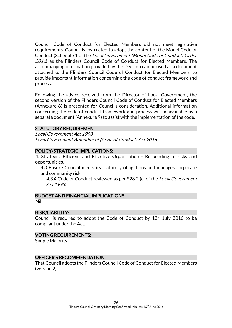Council Code of Conduct for Elected Members did not meet legislative requirements. Council is instructed to adopt the content of the Model Code of Conduct (Schedule 1 of the Local Government (Model Code of Conduct) Order 2016) as the Flinders Council Code of Conduct for Elected Members. The accompanying information provided by the Division can be used as a document attached to the Flinders Council Code of Conduct for Elected Members, to provide important information concerning the code of conduct framework and process.

Following the advice received from the Director of Local Government, the second version of the Flinders Council Code of Conduct for Elected Members (Annexure 8) is presented for Council's consideration. Additional information concerning the code of conduct framework and process will be available as a separate document (Annexure 9) to assist with the implementation of the code.

### STATUTORY REQUIREMENT:

Local Government Act 1993 Local Government Amendment (Code of Conduct) Act 2015

#### POLICY/STRATEGIC IMPLICATIONS:

4. Strategic, Efficient and Effective Organisation - Responding to risks and opportunities.

4.3 Ensure Council meets its statutory obligations and manages corporate and community risk.

4.3.4 Code of Conduct reviewed as per S28 2 (c) of the Local Government Act 1993.

# BUDGET AND FINANCIAL IMPLICATIONS:

#### Nil

#### RISK/LIABILITY:

Council is required to adopt the Code of Conduct by  $12<sup>th</sup>$  July 2016 to be compliant under the Act.

### VOTING REQUIREMENTS:

Simple Majority

### OFFICER'S RECOMMENDATION:

That Council adopts the Flinders Council Code of Conduct for Elected Members (version 2).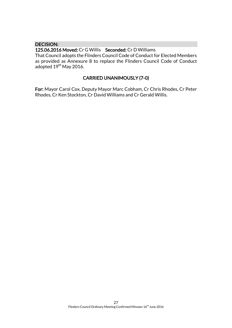### DECISION:

125.06.2016 Moved: Cr G Willis Seconded: Cr D Williams That Council adopts the Flinders Council Code of Conduct for Elected Members as provided as Annexure 8 to replace the Flinders Council Code of Conduct adopted 19<sup>th</sup> May 2016.

# CARRIED UNANIMOUSLY (7-0)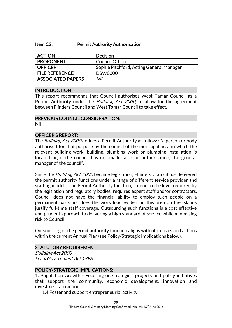#### Item C2: Permit Authority Authorisation

| <b>ACTION</b>            | <b>Decision</b>                          |
|--------------------------|------------------------------------------|
| <b>PROPONENT</b>         | <b>Council Officer</b>                   |
| <b>OFFICER</b>           | Sophie Pitchford, Acting General Manager |
| <b>FILE REFERENCE</b>    | DSV/0300                                 |
| <b>ASSOCIATED PAPERS</b> | Nil                                      |

### INTRODUCTION

This report recommends that Council authorises West Tamar Council as a Permit Authority under the *Building Act 2000*, to allow for the agreement between Flinders Council and West Tamar Council to take effect.

#### PREVIOUS COUNCIL CONSIDERATION: Nil

#### OFFICER'S REPORT:

The *Building Act 2000* defines a Permit Authority as follows: "a person or body authorised for that purpose by the council of the municipal area in which the relevant building work, building, plumbing work or plumbing installation is located or, if the council has not made such an authorisation, the general manager of the council".

Since the *Building Act 2000* became legislation, Flinders Council has delivered the permit authority functions under a range of different service provider and staffing models. The Permit Authority function, if done to the level required by the legislation and regulatory bodies, requires expert staff and/or contractors. Council does not have the financial ability to employ such people on a permanent basis nor does the work load evident in this area on the Islands justify full-time staff coverage. Outsourcing such functions is a cost effective and prudent approach to delivering a high standard of service while minimising risk to Council.

Outsourcing of the permit authority function aligns with objectives and actions within the current Annual Plan (see Policy/Strategic Implications below).

### STATUTORY REQUIREMENT:

Building Act 2000 Local Government Act 1993

### POLICY/STRATEGIC IMPLICATIONS:

1. Population Growth - Focusing on strategies, projects and policy initiatives that support the community, economic development, innovation and investment attraction.

1.4 Foster and support entrepreneurial activity.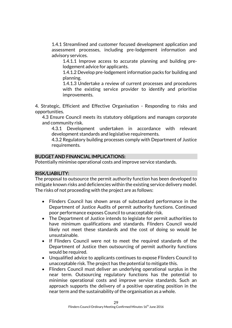1.4.1 Streamlined and customer focused development application and assessment processes, including pre-lodgement information and advisory services.

1.4.1.1 Improve access to accurate planning and building prelodgement advice for applicants.

1.4.1.2 Develop pre-lodgement information packs for building and planning.

1.4.1.3 Undertake a review of current processes and procedures with the existing service provider to identify and prioritise improvements.

4. Strategic, Efficient and Effective Organisation - Responding to risks and opportunities.

4.3 Ensure Council meets its statutory obligations and manages corporate and community risk.

4.3.1 Development undertaken in accordance with relevant development standards and legislative requirements.

4.3.2 Regulatory building processes comply with Department of Justice requirements.

# BUDGET AND FINANCIAL IMPLICATIONS:

Potentially minimise operational costs and improve service standards.

### RISK/LIABILITY:

The proposal to outsource the permit authority function has been developed to mitigate known risks and deficiencies within the existing service delivery model. The risks of not proceeding with the project are as follows:

- Flinders Council has shown areas of substandard performance in the Department of Justice Audits of permit authority functions. Continued poor performance exposes Council to unacceptable risk.
- The Department of Justice intends to legislate for permit authorities to have minimum qualifications and standards. Flinders Council would likely not meet these standards and the cost of doing so would be unsustainable.
- If Flinders Council were not to meet the required standards of the Department of Justice then outsourcing of permit authority functions would be required.
- Unqualified advice to applicants continues to expose Flinders Council to unacceptable risk. The project has the potential to mitigate this.
- Flinders Council must deliver an underlying operational surplus in the near term. Outsourcing regulatory functions has the potential to minimise operational costs and improve service standards. Such an approach supports the delivery of a positive operating position in the near term and the sustainability of the organisation as a whole.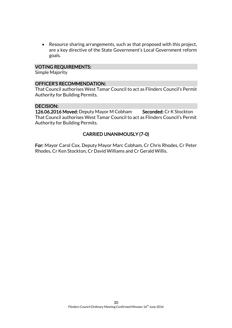Resource sharing arrangements, such as that proposed with this project, are a key directive of the State Government's Local Government reform goals.

### VOTING REQUIREMENTS:

Simple Majority

#### OFFICER'S RECOMMENDATION:

That Council authorises West Tamar Council to act as Flinders Council's Permit Authority for Building Permits.

#### DECISION:

126.06.2016 Moved: Deputy Mayor M Cobham Seconded: Cr K Stockton That Council authorises West Tamar Council to act as Flinders Council's Permit Authority for Building Permits.

# CARRIED UNANIMOUSLY (7-0)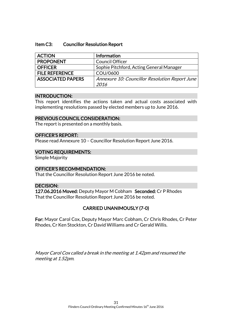#### Item C3: Councillor Resolution Report

| <b>ACTION</b>            | Information                                    |
|--------------------------|------------------------------------------------|
| <b>PROPONENT</b>         | <b>Council Officer</b>                         |
| <b>OFFICER</b>           | Sophie Pitchford, Acting General Manager       |
| <b>FILE REFERENCE</b>    | COU/0600                                       |
| <b>ASSOCIATED PAPERS</b> | Annexure 10: Councillor Resolution Report June |
|                          | 2016                                           |

#### INTRODUCTION:

This report identifies the actions taken and actual costs associated with implementing resolutions passed by elected members up to June 2016.

### PREVIOUS COUNCIL CONSIDERATION:

The report is presented on a monthly basis.

#### OFFICER'S REPORT:

Please read Annexure 10 – Councillor Resolution Report June 2016.

### VOTING REQUIREMENTS:

Simple Majority

### OFFICER'S RECOMMENDATION:

That the Councillor Resolution Report June 2016 be noted.

### DECISION:

127.06.2016 Moved: Deputy Mayor M Cobham Seconded: Cr P Rhodes That the Councillor Resolution Report June 2016 be noted.

# CARRIED UNANIMOUSLY (7-0)

For: Mayor Carol Cox, Deputy Mayor Marc Cobham, Cr Chris Rhodes, Cr Peter Rhodes, Cr Ken Stockton, Cr David Williams and Cr Gerald Willis.

Mayor Carol Cox called a break in the meeting at 1.42pm and resumed the meeting at 1.52pm.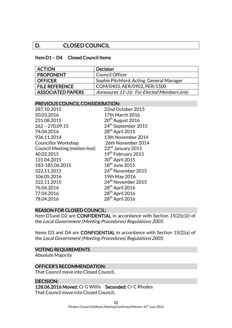# D. CLOSED COUNCIL

#### Item D1 – D4 Closed Council Items

| <b>ACTION</b>            | <b>Decision</b>                           |
|--------------------------|-------------------------------------------|
| <b>PROPONENT</b>         | <b>Council Officer</b>                    |
| <b>OFFICER</b>           | Sophie Pitchford, Acting General Manager  |
| <b>FILE REFERENCE</b>    | COM/0403, AER/0902, PER/1500              |
| <b>ASSOCIATED PAPERS</b> | Annexures 11-16: For Elected Members only |

#### PREVIOUS COUNCIL CONSIDERATION:

| 287.10.2015                   | 22nd October 2015               |
|-------------------------------|---------------------------------|
| 50.03.2016                    | 17th March 2016                 |
| 231.08.2015                   | 20 <sup>th</sup> August 2016    |
| $262 - 270.09.15$             | 24 <sup>th</sup> September 2015 |
| 74.04.2016                    | 28 <sup>th</sup> April 2015     |
| 936.11.2014                   | 13th November 2014              |
| <b>Councillor Workshop</b>    | 26th November 2014              |
| Council Meeting (motion lost) | 22 <sup>nd</sup> January 2015   |
| 40.02.2015                    | 19 <sup>th</sup> February 2015  |
| 131.04.2015                   | 30 <sup>th</sup> April 2015     |
| 183-185.06.2015               | 18 <sup>th</sup> June 2015      |
| 322.11.2015                   | 24 <sup>th</sup> November 2015  |
| 106.05.2016                   | 19th May 2016                   |
| 322.11.2015                   | 24 <sup>th</sup> November 2015  |
| 76.04.2016                    | 28 <sup>th</sup> April 2016     |
| 77.04.2016                    | 28 <sup>th</sup> April 2016     |
| 78.04.2016                    | 28 <sup>th</sup> April 2016     |
|                               |                                 |

#### REASON FOR CLOSED COUNCIL:

Item D1and D2 are CONFIDENTIAL in accordance with Section 15(2)(c)(i) of the Local Government (Meeting Procedures) Regulations 2005.

Items D3 and D4 are CONFIDENTIAL in accordance with Section 15(2)(a) of the Local Government (Meeting Procedures) Regulations 2005.

#### VOTING REQUIREMENTS

Absolute Majority

### OFFICER'S RECOMMENDATION:

That Council move into Closed Council.

DECISION: 128.06.2016 Moved: Cr G Willis Seconded: Cr C Rhodes That Council move into Closed Council.